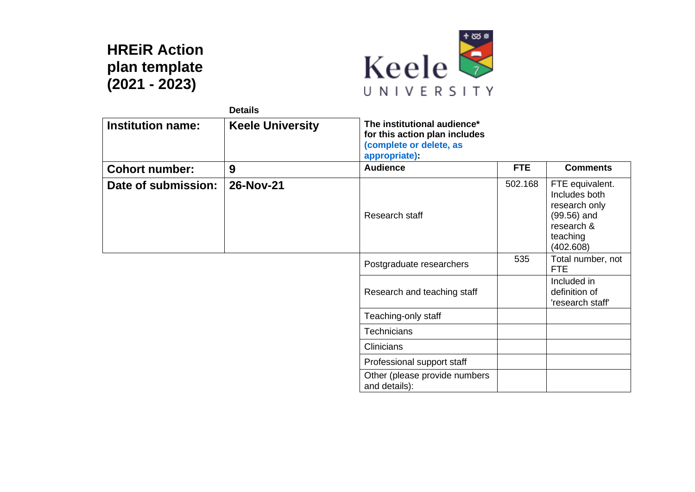## **HREiR Action plan template (2021 - 2023)**



|                          | <b>Details</b>          |                                                                                                          |            |                                                                                                           |
|--------------------------|-------------------------|----------------------------------------------------------------------------------------------------------|------------|-----------------------------------------------------------------------------------------------------------|
| <b>Institution name:</b> | <b>Keele University</b> | The institutional audience*<br>for this action plan includes<br>(complete or delete, as<br>appropriate): |            |                                                                                                           |
| <b>Cohort number:</b>    | 9                       | <b>Audience</b>                                                                                          | <b>FTE</b> | <b>Comments</b>                                                                                           |
| Date of submission:      | 26-Nov-21               | Research staff                                                                                           | 502.168    | FTE equivalent.<br>Includes both<br>research only<br>$(99.56)$ and<br>research &<br>teaching<br>(402.608) |
|                          |                         | Postgraduate researchers                                                                                 | 535        | Total number, not<br><b>FTE</b>                                                                           |
|                          |                         | Research and teaching staff                                                                              |            | Included in<br>definition of<br>'research staff'                                                          |
|                          |                         | Teaching-only staff                                                                                      |            |                                                                                                           |
|                          |                         | <b>Technicians</b>                                                                                       |            |                                                                                                           |
|                          |                         | <b>Clinicians</b>                                                                                        |            |                                                                                                           |
|                          |                         | Professional support staff                                                                               |            |                                                                                                           |
|                          |                         | Other (please provide numbers<br>and details):                                                           |            |                                                                                                           |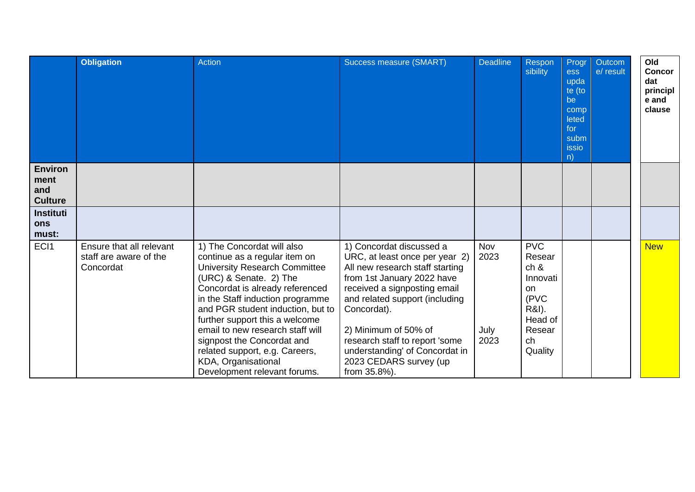|                                                                                   | <b>Obligation</b>                                               | Action                                                                                                                                                                                                                                                                                                                                                                                                                                 | Success measure (SMART)                                                                                                                                                                                                                                                                                                                            | <b>Deadline</b>                    | Respon<br>sibility                                                                                           | Progr<br><b>ess</b><br>upda<br>te (to<br>be<br>comp<br>leted<br>for<br>subm<br>issio<br>n) | Outcom<br>e/ result | Old<br><b>Concor</b><br>dat<br>principl<br>e and<br>clause |
|-----------------------------------------------------------------------------------|-----------------------------------------------------------------|----------------------------------------------------------------------------------------------------------------------------------------------------------------------------------------------------------------------------------------------------------------------------------------------------------------------------------------------------------------------------------------------------------------------------------------|----------------------------------------------------------------------------------------------------------------------------------------------------------------------------------------------------------------------------------------------------------------------------------------------------------------------------------------------------|------------------------------------|--------------------------------------------------------------------------------------------------------------|--------------------------------------------------------------------------------------------|---------------------|------------------------------------------------------------|
| <b>Environ</b><br>ment<br>and<br><b>Culture</b><br><b>Instituti</b><br><b>ons</b> |                                                                 |                                                                                                                                                                                                                                                                                                                                                                                                                                        |                                                                                                                                                                                                                                                                                                                                                    |                                    |                                                                                                              |                                                                                            |                     |                                                            |
| must:<br>EC <sub>1</sub>                                                          | Ensure that all relevant<br>staff are aware of the<br>Concordat | 1) The Concordat will also<br>continue as a regular item on<br><b>University Research Committee</b><br>(URC) & Senate. 2) The<br>Concordat is already referenced<br>in the Staff induction programme<br>and PGR student induction, but to<br>further support this a welcome<br>email to new research staff will<br>signpost the Concordat and<br>related support, e.g. Careers,<br>KDA, Organisational<br>Development relevant forums. | 1) Concordat discussed a<br>URC, at least once per year 2)<br>All new research staff starting<br>from 1st January 2022 have<br>received a signposting email<br>and related support (including<br>Concordat).<br>2) Minimum of 50% of<br>research staff to report 'some<br>understanding' of Concordat in<br>2023 CEDARS survey (up<br>from 35.8%). | <b>Nov</b><br>2023<br>July<br>2023 | <b>PVC</b><br>Resear<br>ch 8<br>Innovati<br><b>on</b><br>(PVC<br>R&I).<br>Head of<br>Resear<br>ch<br>Quality |                                                                                            |                     | <b>New</b>                                                 |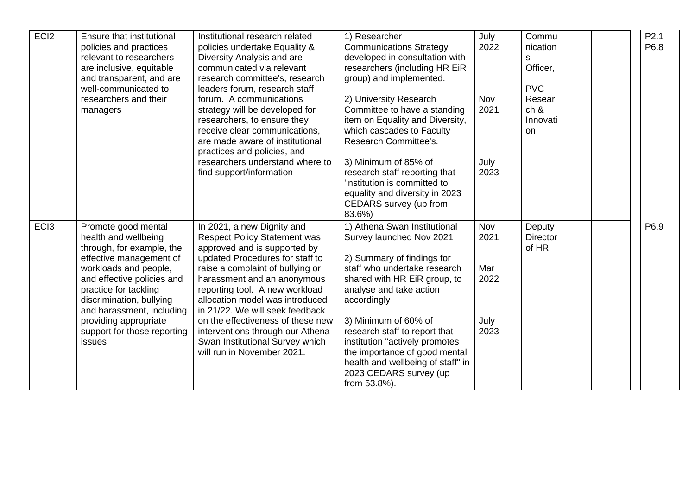| EC <sub>I2</sub> | Ensure that institutional<br>policies and practices<br>relevant to researchers<br>are inclusive, equitable<br>and transparent, and are<br>well-communicated to<br>researchers and their<br>managers                                                                                                            | Institutional research related<br>policies undertake Equality &<br>Diversity Analysis and are<br>communicated via relevant<br>research committee's, research<br>leaders forum, research staff<br>forum. A communications<br>strategy will be developed for<br>researchers, to ensure they<br>receive clear communications,<br>are made aware of institutional<br>practices and policies, and<br>researchers understand where to<br>find support/information | 1) Researcher<br><b>Communications Strategy</b><br>developed in consultation with<br>researchers (including HR EiR<br>group) and implemented.<br>2) University Research<br>Committee to have a standing<br>item on Equality and Diversity,<br>which cascades to Faculty<br>Research Committee's.<br>3) Minimum of 85% of<br>research staff reporting that<br>'institution is committed to<br>equality and diversity in 2023<br>CEDARS survey (up from | July<br>2022<br>Nov<br>2021<br>July<br>2023 | Commu<br>nication<br>S<br>Officer,<br><b>PVC</b><br>Resear<br>ch <sub>8</sub><br>Innovati<br><b>on</b> |  | P2.1<br>P6.8 |
|------------------|----------------------------------------------------------------------------------------------------------------------------------------------------------------------------------------------------------------------------------------------------------------------------------------------------------------|-------------------------------------------------------------------------------------------------------------------------------------------------------------------------------------------------------------------------------------------------------------------------------------------------------------------------------------------------------------------------------------------------------------------------------------------------------------|-------------------------------------------------------------------------------------------------------------------------------------------------------------------------------------------------------------------------------------------------------------------------------------------------------------------------------------------------------------------------------------------------------------------------------------------------------|---------------------------------------------|--------------------------------------------------------------------------------------------------------|--|--------------|
| EC <sub>I3</sub> | Promote good mental<br>health and wellbeing<br>through, for example, the<br>effective management of<br>workloads and people,<br>and effective policies and<br>practice for tackling<br>discrimination, bullying<br>and harassment, including<br>providing appropriate<br>support for those reporting<br>issues | In 2021, a new Dignity and<br><b>Respect Policy Statement was</b><br>approved and is supported by<br>updated Procedures for staff to<br>raise a complaint of bullying or<br>harassment and an anonymous<br>reporting tool. A new workload<br>allocation model was introduced<br>in 21/22. We will seek feedback<br>on the effectiveness of these new<br>interventions through our Athena<br>Swan Institutional Survey which<br>will run in November 2021.   | 83.6%)<br>1) Athena Swan Institutional<br>Survey launched Nov 2021<br>2) Summary of findings for<br>staff who undertake research<br>shared with HR EiR group, to<br>analyse and take action<br>accordingly<br>3) Minimum of 60% of<br>research staff to report that<br>institution "actively promotes<br>the importance of good mental<br>health and wellbeing of staff" in<br>2023 CEDARS survey (up<br>from 53.8%).                                 | Nov<br>2021<br>Mar<br>2022<br>July<br>2023  | Deputy<br><b>Director</b><br>of HR                                                                     |  | P6.9         |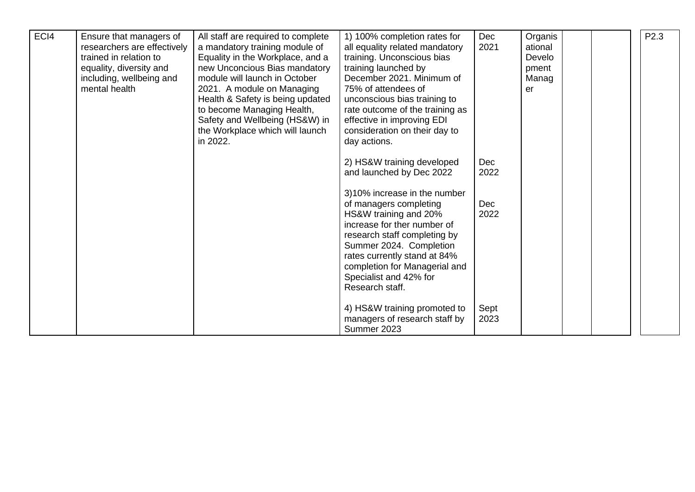| ECI4 | Ensure that managers of<br>researchers are effectively<br>trained in relation to<br>equality, diversity and<br>including, wellbeing and<br>mental health | All staff are required to complete<br>a mandatory training module of<br>Equality in the Workplace, and a<br>new Unconcious Bias mandatory<br>module will launch in October<br>2021. A module on Managing<br>Health & Safety is being updated<br>to become Managing Health,<br>Safety and Wellbeing (HS&W) in<br>the Workplace which will launch<br>in 2022. | 1) 100% completion rates for<br>all equality related mandatory<br>training. Unconscious bias<br>training launched by<br>December 2021. Minimum of<br>75% of attendees of<br>unconscious bias training to<br>rate outcome of the training as<br>effective in improving EDI<br>consideration on their day to<br>day actions. | Dec<br>2021  | Organis<br>ational<br>Develo<br>pment<br>Manag<br>er |  | P <sub>2.3</sub> |
|------|----------------------------------------------------------------------------------------------------------------------------------------------------------|-------------------------------------------------------------------------------------------------------------------------------------------------------------------------------------------------------------------------------------------------------------------------------------------------------------------------------------------------------------|----------------------------------------------------------------------------------------------------------------------------------------------------------------------------------------------------------------------------------------------------------------------------------------------------------------------------|--------------|------------------------------------------------------|--|------------------|
|      |                                                                                                                                                          |                                                                                                                                                                                                                                                                                                                                                             | 2) HS&W training developed<br>and launched by Dec 2022                                                                                                                                                                                                                                                                     | Dec<br>2022  |                                                      |  |                  |
|      |                                                                                                                                                          |                                                                                                                                                                                                                                                                                                                                                             | 3)10% increase in the number<br>of managers completing<br>HS&W training and 20%<br>increase for ther number of<br>research staff completing by<br>Summer 2024. Completion<br>rates currently stand at 84%<br>completion for Managerial and<br>Specialist and 42% for<br>Research staff.                                    | Dec<br>2022  |                                                      |  |                  |
|      |                                                                                                                                                          |                                                                                                                                                                                                                                                                                                                                                             | 4) HS&W training promoted to<br>managers of research staff by<br>Summer 2023                                                                                                                                                                                                                                               | Sept<br>2023 |                                                      |  |                  |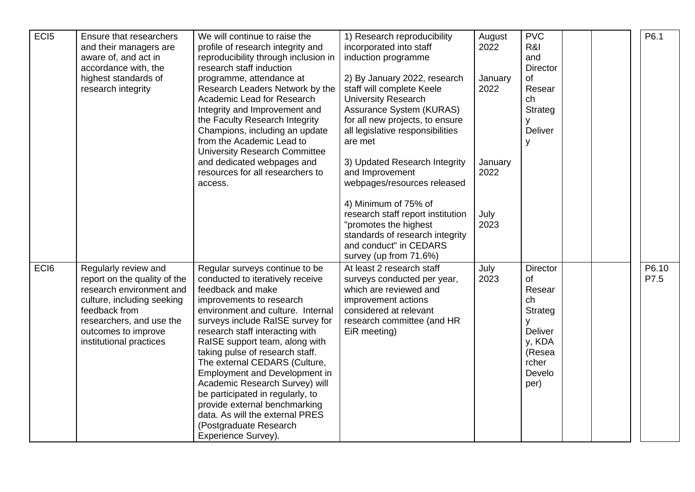| EC <sub>I5</sub> | Ensure that researchers<br>and their managers are<br>aware of, and act in<br>accordance with, the<br>highest standards of<br>research integrity                                                               | We will continue to raise the<br>profile of research integrity and<br>reproducibility through inclusion in<br>research staff induction<br>programme, attendance at<br>Research Leaders Network by the<br>Academic Lead for Research<br>Integrity and Improvement and<br>the Faculty Research Integrity<br>Champions, including an update<br>from the Academic Lead to<br><b>University Research Committee</b><br>and dedicated webpages and<br>resources for all researchers to<br>access.                                                                               | 1) Research reproducibility<br>incorporated into staff<br>induction programme<br>2) By January 2022, research<br>staff will complete Keele<br><b>University Research</b><br>Assurance System (KURAS)<br>for all new projects, to ensure<br>all legislative responsibilities<br>are met<br>3) Updated Research Integrity<br>and Improvement<br>webpages/resources released<br>4) Minimum of 75% of<br>research staff report institution<br>"promotes the highest<br>standards of research integrity<br>and conduct" in CEDARS<br>survey (up from 71.6%) | August<br>2022<br>January<br>2022<br>January<br>2022<br>July<br>2023 | <b>PVC</b><br>R&I<br>and<br><b>Director</b><br>of<br>Resear<br>ch<br>Strateg<br><b>Deliver</b><br>y               |  | P6.1          |
|------------------|---------------------------------------------------------------------------------------------------------------------------------------------------------------------------------------------------------------|--------------------------------------------------------------------------------------------------------------------------------------------------------------------------------------------------------------------------------------------------------------------------------------------------------------------------------------------------------------------------------------------------------------------------------------------------------------------------------------------------------------------------------------------------------------------------|--------------------------------------------------------------------------------------------------------------------------------------------------------------------------------------------------------------------------------------------------------------------------------------------------------------------------------------------------------------------------------------------------------------------------------------------------------------------------------------------------------------------------------------------------------|----------------------------------------------------------------------|-------------------------------------------------------------------------------------------------------------------|--|---------------|
| EC <sub>I6</sub> | Regularly review and<br>report on the quality of the<br>research environment and<br>culture, including seeking<br>feedback from<br>researchers, and use the<br>outcomes to improve<br>institutional practices | Regular surveys continue to be<br>conducted to iteratively receive<br>feedback and make<br>improvements to research<br>environment and culture. Internal<br>surveys include RaISE survey for<br>research staff interacting with<br>RaISE support team, along with<br>taking pulse of research staff.<br>The external CEDARS (Culture,<br><b>Employment and Development in</b><br>Academic Research Survey) will<br>be participated in regularly, to<br>provide external benchmarking<br>data. As will the external PRES<br>(Postgraduate Research<br>Experience Survey). | At least 2 research staff<br>surveys conducted per year,<br>which are reviewed and<br>improvement actions<br>considered at relevant<br>research committee (and HR<br>EiR meeting)                                                                                                                                                                                                                                                                                                                                                                      | July<br>2023                                                         | <b>Director</b><br>of<br>Resear<br>ch<br><b>Strateg</b><br>Deliver<br>y, KDA<br>(Resea<br>rcher<br>Develo<br>per) |  | P6.10<br>P7.5 |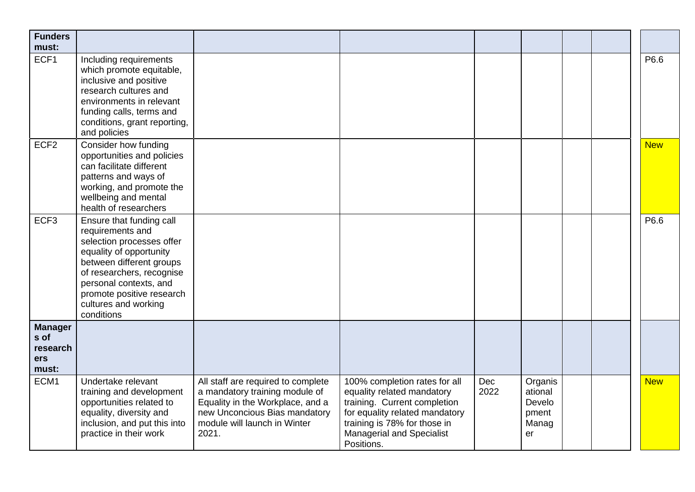| <b>Funders</b><br>must:                                   |                                                                                                                                                                                                                                                            |                                                                                                                                                                                    |                                                                                                                                                                                                                 |             |                                                      |  |            |
|-----------------------------------------------------------|------------------------------------------------------------------------------------------------------------------------------------------------------------------------------------------------------------------------------------------------------------|------------------------------------------------------------------------------------------------------------------------------------------------------------------------------------|-----------------------------------------------------------------------------------------------------------------------------------------------------------------------------------------------------------------|-------------|------------------------------------------------------|--|------------|
| ECF1                                                      | Including requirements<br>which promote equitable,<br>inclusive and positive<br>research cultures and<br>environments in relevant<br>funding calls, terms and<br>conditions, grant reporting,<br>and policies                                              |                                                                                                                                                                                    |                                                                                                                                                                                                                 |             |                                                      |  | P6.6       |
| ECF <sub>2</sub>                                          | Consider how funding<br>opportunities and policies<br>can facilitate different<br>patterns and ways of<br>working, and promote the<br>wellbeing and mental<br>health of researchers                                                                        |                                                                                                                                                                                    |                                                                                                                                                                                                                 |             |                                                      |  | <b>New</b> |
| ECF <sub>3</sub>                                          | Ensure that funding call<br>requirements and<br>selection processes offer<br>equality of opportunity<br>between different groups<br>of researchers, recognise<br>personal contexts, and<br>promote positive research<br>cultures and working<br>conditions |                                                                                                                                                                                    |                                                                                                                                                                                                                 |             |                                                      |  | P6.6       |
| <b>Manager</b><br>s of<br>research<br><b>ers</b><br>must: |                                                                                                                                                                                                                                                            |                                                                                                                                                                                    |                                                                                                                                                                                                                 |             |                                                      |  |            |
| ECM1                                                      | Undertake relevant<br>training and development<br>opportunities related to<br>equality, diversity and<br>inclusion, and put this into<br>practice in their work                                                                                            | All staff are required to complete<br>a mandatory training module of<br>Equality in the Workplace, and a<br>new Unconcious Bias mandatory<br>module will launch in Winter<br>2021. | 100% completion rates for all<br>equality related mandatory<br>training. Current completion<br>for equality related mandatory<br>training is 78% for those in<br><b>Managerial and Specialist</b><br>Positions. | Dec<br>2022 | Organis<br>ational<br>Develo<br>pment<br>Manag<br>er |  | <b>New</b> |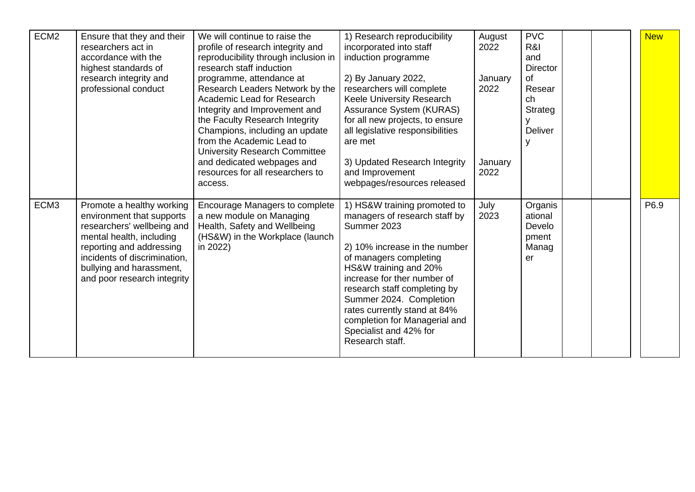| ECM <sub>2</sub> | Ensure that they and their<br>researchers act in<br>accordance with the<br>highest standards of<br>research integrity and<br>professional conduct                                                                                       | We will continue to raise the<br>profile of research integrity and<br>reproducibility through inclusion in<br>research staff induction<br>programme, attendance at<br>Research Leaders Network by the<br>Academic Lead for Research<br>Integrity and Improvement and<br>the Faculty Research Integrity | 1) Research reproducibility<br>incorporated into staff<br>induction programme<br>2) By January 2022,<br>researchers will complete<br>Keele University Research<br>Assurance System (KURAS)<br>for all new projects, to ensure                                                                                                                                            | August<br>2022<br>January<br>2022 | <b>PVC</b><br>R&I<br>and<br><b>Director</b><br><b>of</b><br>Resear<br>ch<br>Strateg |  | <b>New</b> |
|------------------|-----------------------------------------------------------------------------------------------------------------------------------------------------------------------------------------------------------------------------------------|--------------------------------------------------------------------------------------------------------------------------------------------------------------------------------------------------------------------------------------------------------------------------------------------------------|--------------------------------------------------------------------------------------------------------------------------------------------------------------------------------------------------------------------------------------------------------------------------------------------------------------------------------------------------------------------------|-----------------------------------|-------------------------------------------------------------------------------------|--|------------|
|                  |                                                                                                                                                                                                                                         | Champions, including an update<br>from the Academic Lead to<br>University Research Committee<br>and dedicated webpages and<br>resources for all researchers to<br>access.                                                                                                                              | all legislative responsibilities<br>are met<br>3) Updated Research Integrity<br>and Improvement<br>webpages/resources released                                                                                                                                                                                                                                           | January<br>2022                   | <b>Deliver</b>                                                                      |  |            |
| ECM <sub>3</sub> | Promote a healthy working<br>environment that supports<br>researchers' wellbeing and<br>mental health, including<br>reporting and addressing<br>incidents of discrimination,<br>bullying and harassment,<br>and poor research integrity | Encourage Managers to complete<br>a new module on Managing<br>Health, Safety and Wellbeing<br>(HS&W) in the Workplace (launch<br>in 2022)                                                                                                                                                              | 1) HS&W training promoted to<br>managers of research staff by<br>Summer 2023<br>2) 10% increase in the number<br>of managers completing<br>HS&W training and 20%<br>increase for ther number of<br>research staff completing by<br>Summer 2024. Completion<br>rates currently stand at 84%<br>completion for Managerial and<br>Specialist and 42% for<br>Research staff. | July<br>2023                      | Organis<br>ational<br>Develo<br>pment<br>Manag<br>er                                |  | P6.9       |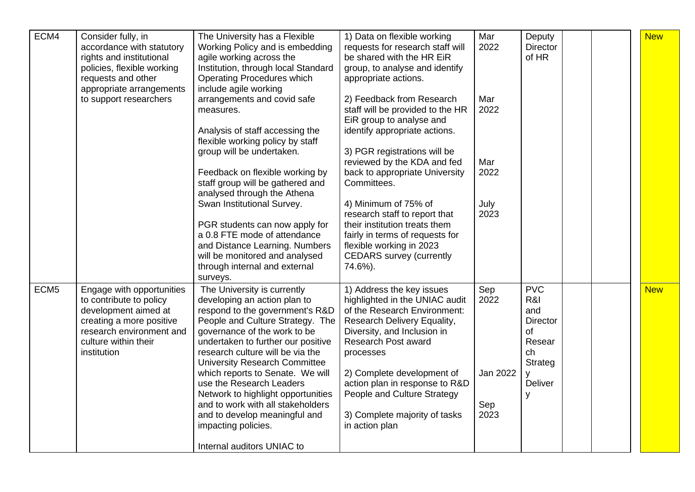| ECM4             | Consider fully, in<br>accordance with statutory<br>rights and institutional<br>policies, flexible working<br>requests and other<br>appropriate arrangements                 | The University has a Flexible<br>Working Policy and is embedding<br>agile working across the<br>Institution, through local Standard<br><b>Operating Procedures which</b><br>include agile working                                                                                                                                                                                                                                                                                                              | 1) Data on flexible working<br>requests for research staff will<br>be shared with the HR EiR<br>group, to analyse and identify<br>appropriate actions.                                                                                                                                                                                                 | Mar<br>2022                            | Deputy<br><b>Director</b><br>of HR                                                                |  | <b>New</b> |
|------------------|-----------------------------------------------------------------------------------------------------------------------------------------------------------------------------|----------------------------------------------------------------------------------------------------------------------------------------------------------------------------------------------------------------------------------------------------------------------------------------------------------------------------------------------------------------------------------------------------------------------------------------------------------------------------------------------------------------|--------------------------------------------------------------------------------------------------------------------------------------------------------------------------------------------------------------------------------------------------------------------------------------------------------------------------------------------------------|----------------------------------------|---------------------------------------------------------------------------------------------------|--|------------|
|                  | to support researchers                                                                                                                                                      | arrangements and covid safe<br>measures.<br>Analysis of staff accessing the<br>flexible working policy by staff<br>group will be undertaken.                                                                                                                                                                                                                                                                                                                                                                   | 2) Feedback from Research<br>staff will be provided to the HR<br>EiR group to analyse and<br>identify appropriate actions.<br>3) PGR registrations will be                                                                                                                                                                                             | Mar<br>2022                            |                                                                                                   |  |            |
|                  |                                                                                                                                                                             | Feedback on flexible working by<br>staff group will be gathered and<br>analysed through the Athena                                                                                                                                                                                                                                                                                                                                                                                                             | reviewed by the KDA and fed<br>back to appropriate University<br>Committees.                                                                                                                                                                                                                                                                           | Mar<br>2022                            |                                                                                                   |  |            |
|                  |                                                                                                                                                                             | Swan Institutional Survey.<br>PGR students can now apply for<br>a 0.8 FTE mode of attendance<br>and Distance Learning. Numbers<br>will be monitored and analysed<br>through internal and external<br>surveys.                                                                                                                                                                                                                                                                                                  | 4) Minimum of 75% of<br>research staff to report that<br>their institution treats them<br>fairly in terms of requests for<br>flexible working in 2023<br><b>CEDARS</b> survey (currently<br>74.6%).                                                                                                                                                    | July<br>2023                           |                                                                                                   |  |            |
| ECM <sub>5</sub> | Engage with opportunities<br>to contribute to policy<br>development aimed at<br>creating a more positive<br>research environment and<br>culture within their<br>institution | The University is currently<br>developing an action plan to<br>respond to the government's R&D<br>People and Culture Strategy. The<br>governance of the work to be<br>undertaken to further our positive<br>research culture will be via the<br>University Research Committee<br>which reports to Senate. We will<br>use the Research Leaders<br>Network to highlight opportunities<br>and to work with all stakeholders<br>and to develop meaningful and<br>impacting policies.<br>Internal auditors UNIAC to | 1) Address the key issues<br>highlighted in the UNIAC audit<br>of the Research Environment:<br>Research Delivery Equality,<br>Diversity, and Inclusion in<br><b>Research Post award</b><br>processes<br>2) Complete development of<br>action plan in response to R&D<br>People and Culture Strategy<br>3) Complete majority of tasks<br>in action plan | Sep<br>2022<br>Jan 2022<br>Sep<br>2023 | <b>PVC</b><br>R&I<br>and<br><b>Director</b><br>of<br>Resear<br>ch<br>Strateg<br>y<br>Deliver<br>y |  | <b>New</b> |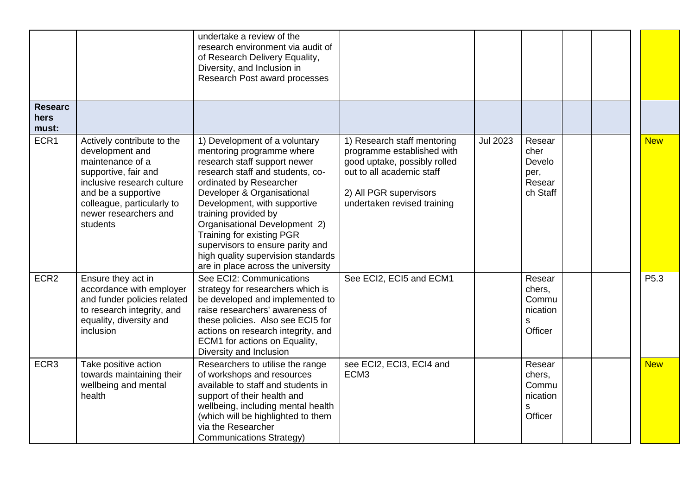|                                 |                                                                                                                                                                                                                   | undertake a review of the<br>research environment via audit of<br>of Research Delivery Equality,<br>Diversity, and Inclusion in<br>Research Post award processes                                                                                                                                                                                                                                                              |                                                                                                                                                                                 |                 |                                                        |  |                  |
|---------------------------------|-------------------------------------------------------------------------------------------------------------------------------------------------------------------------------------------------------------------|-------------------------------------------------------------------------------------------------------------------------------------------------------------------------------------------------------------------------------------------------------------------------------------------------------------------------------------------------------------------------------------------------------------------------------|---------------------------------------------------------------------------------------------------------------------------------------------------------------------------------|-----------------|--------------------------------------------------------|--|------------------|
| <b>Researc</b><br>hers<br>must: |                                                                                                                                                                                                                   |                                                                                                                                                                                                                                                                                                                                                                                                                               |                                                                                                                                                                                 |                 |                                                        |  |                  |
| ECR1                            | Actively contribute to the<br>development and<br>maintenance of a<br>supportive, fair and<br>inclusive research culture<br>and be a supportive<br>colleague, particularly to<br>newer researchers and<br>students | 1) Development of a voluntary<br>mentoring programme where<br>research staff support newer<br>research staff and students, co-<br>ordinated by Researcher<br>Developer & Organisational<br>Development, with supportive<br>training provided by<br>Organisational Development 2)<br>Training for existing PGR<br>supervisors to ensure parity and<br>high quality supervision standards<br>are in place across the university | 1) Research staff mentoring<br>programme established with<br>good uptake, possibly rolled<br>out to all academic staff<br>2) All PGR supervisors<br>undertaken revised training | <b>Jul 2023</b> | Resear<br>cher<br>Develo<br>per,<br>Resear<br>ch Staff |  | <b>New</b>       |
| ECR <sub>2</sub>                | Ensure they act in<br>accordance with employer<br>and funder policies related<br>to research integrity, and<br>equality, diversity and<br>inclusion                                                               | See ECI2: Communications<br>strategy for researchers which is<br>be developed and implemented to<br>raise researchers' awareness of<br>these policies. Also see ECI5 for<br>actions on research integrity, and<br>ECM1 for actions on Equality,<br>Diversity and Inclusion                                                                                                                                                    | See ECI2, ECI5 and ECM1                                                                                                                                                         |                 | Resear<br>chers,<br>Commu<br>nication<br>S<br>Officer  |  | P <sub>5.3</sub> |
| ECR <sub>3</sub>                | Take positive action<br>towards maintaining their<br>wellbeing and mental<br>health                                                                                                                               | Researchers to utilise the range<br>of workshops and resources<br>available to staff and students in<br>support of their health and<br>wellbeing, including mental health<br>(which will be highlighted to them<br>via the Researcher<br><b>Communications Strategy)</b>                                                                                                                                                      | see ECI2, ECI3, ECI4 and<br>ECM <sub>3</sub>                                                                                                                                    |                 | Resear<br>chers,<br>Commu<br>nication<br>s<br>Officer  |  | <b>New</b>       |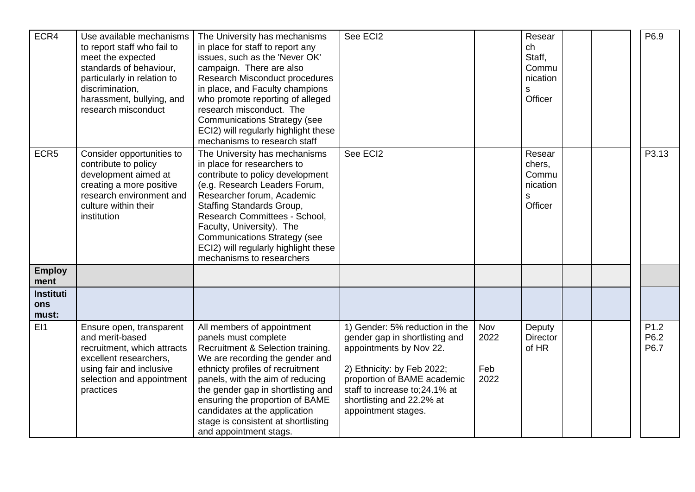| ECR4                             | Use available mechanisms<br>to report staff who fail to<br>meet the expected<br>standards of behaviour,<br>particularly in relation to<br>discrimination,<br>harassment, bullying, and<br>research misconduct | The University has mechanisms<br>in place for staff to report any<br>issues, such as the 'Never OK'<br>campaign. There are also<br>Research Misconduct procedures<br>in place, and Faculty champions<br>who promote reporting of alleged<br>research misconduct. The<br><b>Communications Strategy (see</b><br>ECI2) will regularly highlight these<br>mechanisms to research staff | See ECI2                                                                                                                                                                                                                                       |                            | Resear<br>ch<br>Staff,<br>Commu<br>nication<br>S<br>Officer |  | P6.9                             |
|----------------------------------|---------------------------------------------------------------------------------------------------------------------------------------------------------------------------------------------------------------|-------------------------------------------------------------------------------------------------------------------------------------------------------------------------------------------------------------------------------------------------------------------------------------------------------------------------------------------------------------------------------------|------------------------------------------------------------------------------------------------------------------------------------------------------------------------------------------------------------------------------------------------|----------------------------|-------------------------------------------------------------|--|----------------------------------|
| ECR5                             | Consider opportunities to<br>contribute to policy<br>development aimed at<br>creating a more positive<br>research environment and<br>culture within their<br>institution                                      | The University has mechanisms<br>in place for researchers to<br>contribute to policy development<br>(e.g. Research Leaders Forum,<br>Researcher forum, Academic<br>Staffing Standards Group,<br>Research Committees - School,<br>Faculty, University). The<br><b>Communications Strategy (see</b><br>ECI2) will regularly highlight these<br>mechanisms to researchers              | See ECI2                                                                                                                                                                                                                                       |                            | Resear<br>chers,<br>Commu<br>nication<br>S<br>Officer       |  | P3.13                            |
| <b>Employ</b><br>ment            |                                                                                                                                                                                                               |                                                                                                                                                                                                                                                                                                                                                                                     |                                                                                                                                                                                                                                                |                            |                                                             |  |                                  |
| <b>Instituti</b><br>ons<br>must: |                                                                                                                                                                                                               |                                                                                                                                                                                                                                                                                                                                                                                     |                                                                                                                                                                                                                                                |                            |                                                             |  |                                  |
| E11                              | Ensure open, transparent<br>and merit-based<br>recruitment, which attracts<br>excellent researchers,<br>using fair and inclusive<br>selection and appointment<br>practices                                    | All members of appointment<br>panels must complete<br>Recruitment & Selection training.<br>We are recording the gender and<br>ethnicty profiles of recruitment<br>panels, with the aim of reducing<br>the gender gap in shortlisting and<br>ensuring the proportion of BAME<br>candidates at the application<br>stage is consistent at shortlisting<br>and appointment stags.       | 1) Gender: 5% reduction in the<br>gender gap in shortlisting and<br>appointments by Nov 22.<br>2) Ethnicity: by Feb 2022;<br>proportion of BAME academic<br>staff to increase to; 24.1% at<br>shortlisting and 22.2% at<br>appointment stages. | Nov<br>2022<br>Feb<br>2022 | Deputy<br><b>Director</b><br>of HR                          |  | P <sub>1.2</sub><br>P6.2<br>P6.7 |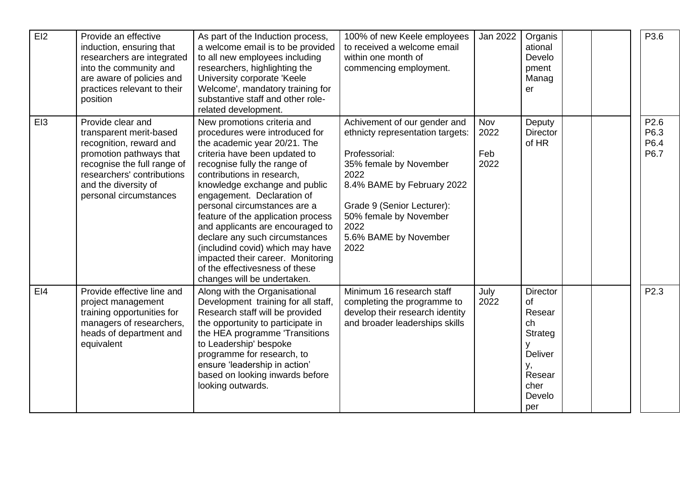| E12             | Provide an effective<br>induction, ensuring that<br>researchers are integrated<br>into the community and<br>are aware of policies and<br>practices relevant to their<br>position                                  | As part of the Induction process,<br>a welcome email is to be provided<br>to all new employees including<br>researchers, highlighting the<br>University corporate 'Keele<br>Welcome', mandatory training for<br>substantive staff and other role-<br>related development.                                                                                                                                                                                                                                                                         | 100% of new Keele employees<br>to received a welcome email<br>within one month of<br>commencing employment.                                                                                                                                        | Jan 2022                   | Organis<br>ational<br>Develo<br>pment<br>Manag<br>er                                                      | P3.6                         |
|-----------------|-------------------------------------------------------------------------------------------------------------------------------------------------------------------------------------------------------------------|---------------------------------------------------------------------------------------------------------------------------------------------------------------------------------------------------------------------------------------------------------------------------------------------------------------------------------------------------------------------------------------------------------------------------------------------------------------------------------------------------------------------------------------------------|----------------------------------------------------------------------------------------------------------------------------------------------------------------------------------------------------------------------------------------------------|----------------------------|-----------------------------------------------------------------------------------------------------------|------------------------------|
| EI3             | Provide clear and<br>transparent merit-based<br>recognition, reward and<br>promotion pathways that<br>recognise the full range of<br>researchers' contributions<br>and the diversity of<br>personal circumstances | New promotions criteria and<br>procedures were introduced for<br>the academic year 20/21. The<br>criteria have been updated to<br>recognise fully the range of<br>contributions in research,<br>knowledge exchange and public<br>engagement. Declaration of<br>personal circumstances are a<br>feature of the application process<br>and applicants are encouraged to<br>declare any such circumstances<br>(includind covid) which may have<br>impacted their career. Monitoring<br>of the effectivesness of these<br>changes will be undertaken. | Achivement of our gender and<br>ethnicty representation targets:<br>Professorial:<br>35% female by November<br>2022<br>8.4% BAME by February 2022<br>Grade 9 (Senior Lecturer):<br>50% female by November<br>2022<br>5.6% BAME by November<br>2022 | Nov<br>2022<br>Feb<br>2022 | Deputy<br><b>Director</b><br>of HR                                                                        | P2.6<br>P6.3<br>P6.4<br>P6.7 |
| E <sub>14</sub> | Provide effective line and<br>project management<br>training opportunities for<br>managers of researchers,<br>heads of department and<br>equivalent                                                               | Along with the Organisational<br>Development training for all staff,<br>Research staff will be provided<br>the opportunity to participate in<br>the HEA programme 'Transitions<br>to Leadership' bespoke<br>programme for research, to<br>ensure 'leadership in action'<br>based on looking inwards before<br>looking outwards.                                                                                                                                                                                                                   | Minimum 16 research staff<br>completing the programme to<br>develop their research identity<br>and broader leaderships skills                                                                                                                      | July<br>2022               | <b>Director</b><br>of<br>Resear<br>ch<br>Strateg<br>У<br>Deliver<br>у,<br>Resear<br>cher<br>Develo<br>per | P2.3                         |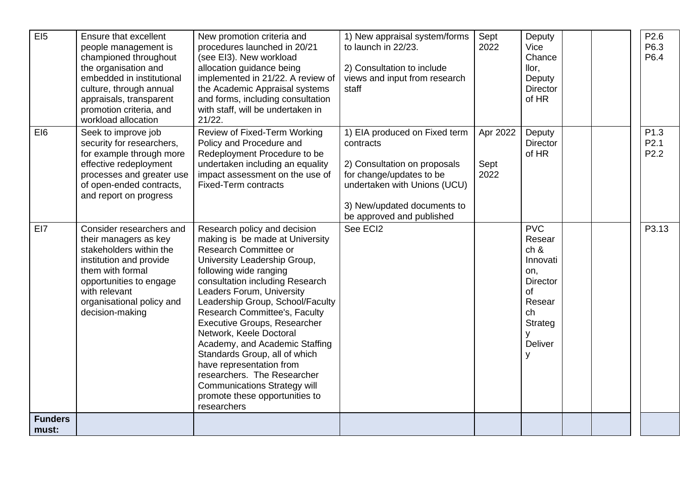| EI <sub>5</sub>         | <b>Ensure that excellent</b><br>people management is<br>championed throughout<br>the organisation and<br>embedded in institutional<br>culture, through annual<br>appraisals, transparent<br>promotion criteria, and<br>workload allocation | New promotion criteria and<br>procedures launched in 20/21<br>(see EI3). New workload<br>allocation guidance being<br>implemented in 21/22. A review of<br>the Academic Appraisal systems<br>and forms, including consultation<br>with staff, will be undertaken in<br>21/22.                                                                                                                                                                                                                                                                                                   | 1) New appraisal system/forms<br>to launch in 22/23.<br>2) Consultation to include<br>views and input from research<br>staff                                                                       | Sept<br>2022             | Deputy<br>Vice<br>Chance<br>llor,<br>Deputy<br><b>Director</b><br>of HR                                                         |  | P2.6<br>P6.3<br>P6.4                         |
|-------------------------|--------------------------------------------------------------------------------------------------------------------------------------------------------------------------------------------------------------------------------------------|---------------------------------------------------------------------------------------------------------------------------------------------------------------------------------------------------------------------------------------------------------------------------------------------------------------------------------------------------------------------------------------------------------------------------------------------------------------------------------------------------------------------------------------------------------------------------------|----------------------------------------------------------------------------------------------------------------------------------------------------------------------------------------------------|--------------------------|---------------------------------------------------------------------------------------------------------------------------------|--|----------------------------------------------|
| EI6                     | Seek to improve job<br>security for researchers,<br>for example through more<br>effective redeployment<br>processes and greater use<br>of open-ended contracts,<br>and report on progress                                                  | Review of Fixed-Term Working<br>Policy and Procedure and<br>Redeployment Procedure to be<br>undertaken including an equality<br>impact assessment on the use of<br><b>Fixed-Term contracts</b>                                                                                                                                                                                                                                                                                                                                                                                  | 1) EIA produced on Fixed term<br>contracts<br>2) Consultation on proposals<br>for change/updates to be<br>undertaken with Unions (UCU)<br>3) New/updated documents to<br>be approved and published | Apr 2022<br>Sept<br>2022 | Deputy<br><b>Director</b><br>of HR                                                                                              |  | P1.3<br>P <sub>2.1</sub><br>P <sub>2.2</sub> |
| EI7                     | Consider researchers and<br>their managers as key<br>stakeholders within the<br>institution and provide<br>them with formal<br>opportunities to engage<br>with relevant<br>organisational policy and<br>decision-making                    | Research policy and decision<br>making is be made at University<br>Research Committee or<br>University Leadership Group,<br>following wide ranging<br>consultation including Research<br>Leaders Forum, University<br>Leadership Group, School/Faculty<br>Research Committee's, Faculty<br><b>Executive Groups, Researcher</b><br>Network, Keele Doctoral<br>Academy, and Academic Staffing<br>Standards Group, all of which<br>have representation from<br>researchers. The Researcher<br><b>Communications Strategy will</b><br>promote these opportunities to<br>researchers | See ECI2                                                                                                                                                                                           |                          | <b>PVC</b><br>Resear<br>ch 8<br>Innovati<br>on,<br><b>Director</b><br>of<br>Resear<br>ch<br>Strateg<br>٧<br><b>Deliver</b><br>٧ |  | P3.13                                        |
| <b>Funders</b><br>must: |                                                                                                                                                                                                                                            |                                                                                                                                                                                                                                                                                                                                                                                                                                                                                                                                                                                 |                                                                                                                                                                                                    |                          |                                                                                                                                 |  |                                              |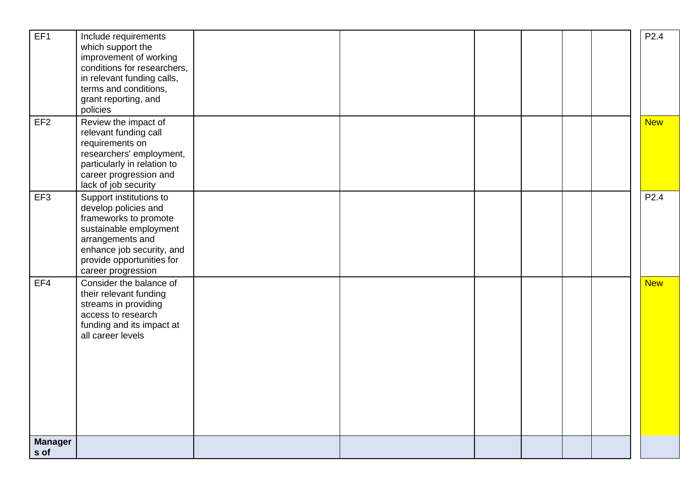| EF1                    | Include requirements<br>which support the<br>improvement of working<br>conditions for researchers,<br>in relevant funding calls,<br>terms and conditions,<br>grant reporting, and<br>policies          |  |  |  | P2.4             |
|------------------------|--------------------------------------------------------------------------------------------------------------------------------------------------------------------------------------------------------|--|--|--|------------------|
| EF <sub>2</sub>        | Review the impact of<br>relevant funding call<br>requirements on<br>researchers' employment,<br>particularly in relation to<br>career progression and<br>lack of job security                          |  |  |  | <b>New</b>       |
| EF <sub>3</sub>        | Support institutions to<br>develop policies and<br>frameworks to promote<br>sustainable employment<br>arrangements and<br>enhance job security, and<br>provide opportunities for<br>career progression |  |  |  | P <sub>2.4</sub> |
| EF4                    | Consider the balance of<br>their relevant funding<br>streams in providing<br>access to research<br>funding and its impact at<br>all career levels                                                      |  |  |  | <b>New</b>       |
| <b>Manager</b><br>s of |                                                                                                                                                                                                        |  |  |  |                  |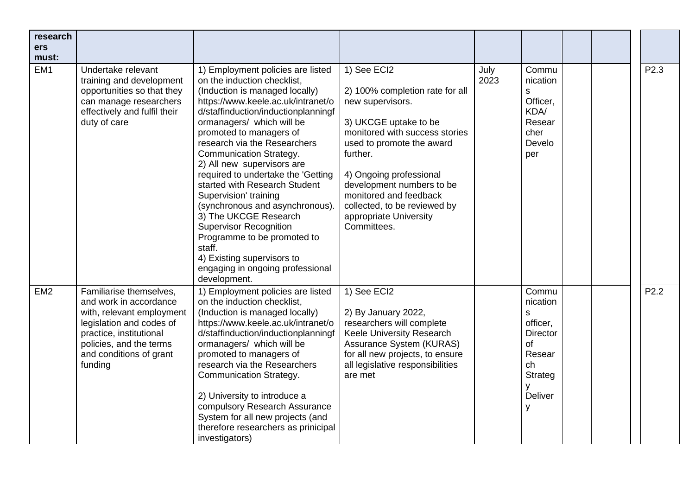| research<br>ers<br>must: |                                                                                                                                                                                                        |                                                                                                                                                                                                                                                                                                                                                                                                                                                                                                                                                                                                                                                                 |                                                                                                                                                                                                                                                                                                                                   |              |                                                                                                                        |  |                  |
|--------------------------|--------------------------------------------------------------------------------------------------------------------------------------------------------------------------------------------------------|-----------------------------------------------------------------------------------------------------------------------------------------------------------------------------------------------------------------------------------------------------------------------------------------------------------------------------------------------------------------------------------------------------------------------------------------------------------------------------------------------------------------------------------------------------------------------------------------------------------------------------------------------------------------|-----------------------------------------------------------------------------------------------------------------------------------------------------------------------------------------------------------------------------------------------------------------------------------------------------------------------------------|--------------|------------------------------------------------------------------------------------------------------------------------|--|------------------|
| EM <sub>1</sub>          | Undertake relevant<br>training and development<br>opportunities so that they<br>can manage researchers<br>effectively and fulfil their<br>duty of care                                                 | 1) Employment policies are listed<br>on the induction checklist,<br>(Induction is managed locally)<br>https://www.keele.ac.uk/intranet/o<br>d/staffinduction/inductionplanningf<br>ormanagers/ which will be<br>promoted to managers of<br>research via the Researchers<br><b>Communication Strategy.</b><br>2) All new supervisors are<br>required to undertake the 'Getting<br>started with Research Student<br>Supervision' training<br>(synchronous and asynchronous).<br>3) The UKCGE Research<br><b>Supervisor Recognition</b><br>Programme to be promoted to<br>staff.<br>4) Existing supervisors to<br>engaging in ongoing professional<br>development. | 1) See ECI2<br>2) 100% completion rate for all<br>new supervisors.<br>3) UKCGE uptake to be<br>monitored with success stories<br>used to promote the award<br>further.<br>4) Ongoing professional<br>development numbers to be<br>monitored and feedback<br>collected, to be reviewed by<br>appropriate University<br>Committees. | July<br>2023 | Commu<br>nication<br>S<br>Officer,<br>KDA/<br>Resear<br>cher<br>Develo<br>per                                          |  | P <sub>2.3</sub> |
| EM <sub>2</sub>          | Familiarise themselves,<br>and work in accordance<br>with, relevant employment<br>legislation and codes of<br>practice, institutional<br>policies, and the terms<br>and conditions of grant<br>funding | 1) Employment policies are listed<br>on the induction checklist,<br>(Induction is managed locally)<br>https://www.keele.ac.uk/intranet/o<br>d/staffinduction/inductionplanningf<br>ormanagers/ which will be<br>promoted to managers of<br>research via the Researchers<br><b>Communication Strategy.</b><br>2) University to introduce a<br>compulsory Research Assurance<br>System for all new projects (and<br>therefore researchers as prinicipal<br>investigators)                                                                                                                                                                                         | 1) See ECI2<br>2) By January 2022,<br>researchers will complete<br>Keele University Research<br>Assurance System (KURAS)<br>for all new projects, to ensure<br>all legislative responsibilities<br>are met                                                                                                                        |              | Commu<br>nication<br>$\mathsf{s}$<br>officer.<br><b>Director</b><br>of<br>Resear<br>ch<br>Strateg<br>У<br>Deliver<br>y |  | P2.2             |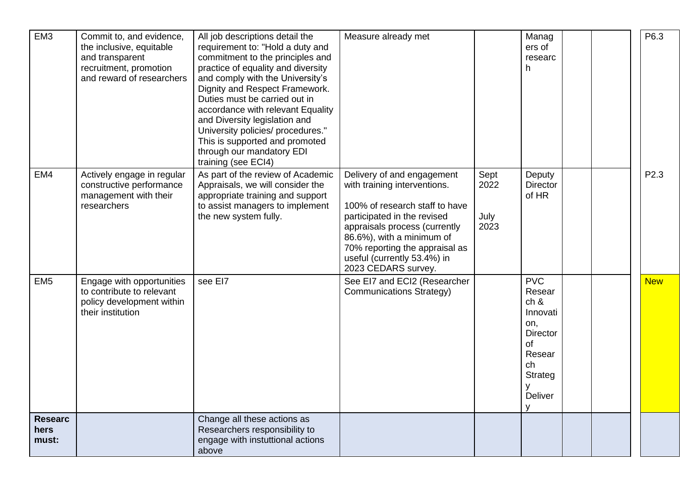| EM <sub>3</sub>                 | Commit to, and evidence,<br>the inclusive, equitable<br>and transparent<br>recruitment, promotion<br>and reward of researchers | All job descriptions detail the<br>requirement to: "Hold a duty and<br>commitment to the principles and<br>practice of equality and diversity<br>and comply with the University's<br>Dignity and Respect Framework.<br>Duties must be carried out in<br>accordance with relevant Equality<br>and Diversity legislation and<br>University policies/ procedures."<br>This is supported and promoted<br>through our mandatory EDI<br>training (see ECI4) | Measure already met                                                                                                                                                                                                                                                               |                              | Manag<br>ers of<br>researc<br>h                                                                                            |  | P6.3       |
|---------------------------------|--------------------------------------------------------------------------------------------------------------------------------|-------------------------------------------------------------------------------------------------------------------------------------------------------------------------------------------------------------------------------------------------------------------------------------------------------------------------------------------------------------------------------------------------------------------------------------------------------|-----------------------------------------------------------------------------------------------------------------------------------------------------------------------------------------------------------------------------------------------------------------------------------|------------------------------|----------------------------------------------------------------------------------------------------------------------------|--|------------|
| EM4                             | Actively engage in regular<br>constructive performance<br>management with their<br>researchers                                 | As part of the review of Academic<br>Appraisals, we will consider the<br>appropriate training and support<br>to assist managers to implement<br>the new system fully.                                                                                                                                                                                                                                                                                 | Delivery of and engagement<br>with training interventions.<br>100% of research staff to have<br>participated in the revised<br>appraisals process (currently<br>86.6%), with a minimum of<br>70% reporting the appraisal as<br>useful (currently 53.4%) in<br>2023 CEDARS survey. | Sept<br>2022<br>July<br>2023 | Deputy<br><b>Director</b><br>of HR                                                                                         |  | P2.3       |
| EM <sub>5</sub>                 | Engage with opportunities<br>to contribute to relevant<br>policy development within<br>their institution                       | see EI7                                                                                                                                                                                                                                                                                                                                                                                                                                               | See EI7 and ECI2 (Researcher<br><b>Communications Strategy)</b>                                                                                                                                                                                                                   |                              | <b>PVC</b><br>Resear<br>ch &<br>Innovati<br>on,<br><b>Director</b><br>of<br>Resear<br>ch<br>Strateg<br><b>Deliver</b><br>V |  | <b>New</b> |
| <b>Researc</b><br>hers<br>must: |                                                                                                                                | Change all these actions as<br>Researchers responsibility to<br>engage with instuttional actions<br>above                                                                                                                                                                                                                                                                                                                                             |                                                                                                                                                                                                                                                                                   |                              |                                                                                                                            |  |            |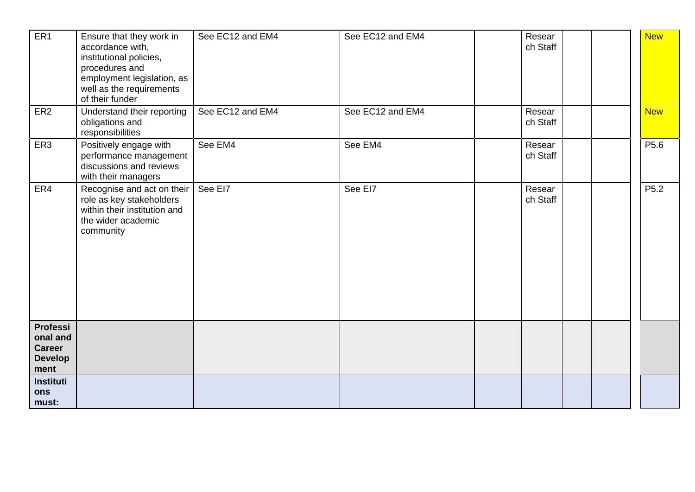| ER <sub>1</sub>                                                 | Ensure that they work in<br>accordance with,<br>institutional policies,<br>procedures and<br>employment legislation, as<br>well as the requirements<br>of their funder | See EC12 and EM4 | See EC12 and EM4 | Resear<br>ch Staff |  | <b>New</b>       |
|-----------------------------------------------------------------|------------------------------------------------------------------------------------------------------------------------------------------------------------------------|------------------|------------------|--------------------|--|------------------|
| ER <sub>2</sub>                                                 | Understand their reporting<br>obligations and<br>responsibilities                                                                                                      | See EC12 and EM4 | See EC12 and EM4 | Resear<br>ch Staff |  | <b>New</b>       |
| ER <sub>3</sub>                                                 | Positively engage with<br>performance management<br>discussions and reviews<br>with their managers                                                                     | See EM4          | See EM4          | Resear<br>ch Staff |  | P <sub>5.6</sub> |
| ER4                                                             | Recognise and act on their<br>role as key stakeholders<br>within their institution and<br>the wider academic<br>community                                              | See EI7          | See El7          | Resear<br>ch Staff |  | P <sub>5.2</sub> |
| Professi<br>onal and<br><b>Career</b><br><b>Develop</b><br>ment |                                                                                                                                                                        |                  |                  |                    |  |                  |
| <b>Instituti</b><br>ons<br>must:                                |                                                                                                                                                                        |                  |                  |                    |  |                  |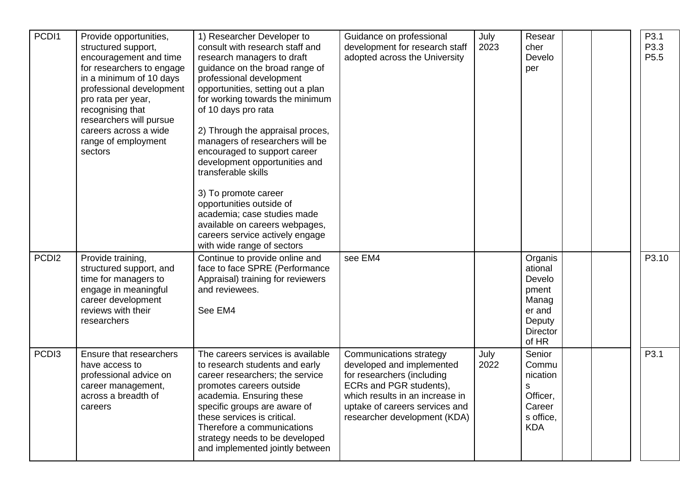| PCDI1             | Provide opportunities,<br>structured support,<br>encouragement and time<br>for researchers to engage<br>in a minimum of 10 days<br>professional development<br>pro rata per year,<br>recognising that<br>researchers will pursue<br>careers across a wide<br>range of employment<br>sectors | 1) Researcher Developer to<br>consult with research staff and<br>research managers to draft<br>guidance on the broad range of<br>professional development<br>opportunities, setting out a plan<br>for working towards the minimum<br>of 10 days pro rata<br>2) Through the appraisal proces,<br>managers of researchers will be<br>encouraged to support career<br>development opportunities and<br>transferable skills<br>3) To promote career<br>opportunities outside of<br>academia; case studies made<br>available on careers webpages,<br>careers service actively engage<br>with wide range of sectors | Guidance on professional<br>development for research staff<br>adopted across the University                                                                                                                               | July<br>2023 | Resear<br>cher<br>Develo<br>per                                                                |  | P3.1<br>P3.3<br>P <sub>5.5</sub> |
|-------------------|---------------------------------------------------------------------------------------------------------------------------------------------------------------------------------------------------------------------------------------------------------------------------------------------|---------------------------------------------------------------------------------------------------------------------------------------------------------------------------------------------------------------------------------------------------------------------------------------------------------------------------------------------------------------------------------------------------------------------------------------------------------------------------------------------------------------------------------------------------------------------------------------------------------------|---------------------------------------------------------------------------------------------------------------------------------------------------------------------------------------------------------------------------|--------------|------------------------------------------------------------------------------------------------|--|----------------------------------|
| PCDI <sub>2</sub> | Provide training,<br>structured support, and<br>time for managers to<br>engage in meaningful<br>career development<br>reviews with their<br>researchers                                                                                                                                     | Continue to provide online and<br>face to face SPRE (Performance<br>Appraisal) training for reviewers<br>and reviewees.<br>See EM4                                                                                                                                                                                                                                                                                                                                                                                                                                                                            | see EM4                                                                                                                                                                                                                   |              | Organis<br>ational<br>Develo<br>pment<br>Manag<br>er and<br>Deputy<br><b>Director</b><br>of HR |  | P3.10                            |
| PCD <sub>13</sub> | Ensure that researchers<br>have access to<br>professional advice on<br>career management,<br>across a breadth of<br>careers                                                                                                                                                                 | The careers services is available<br>to research students and early<br>career researchers; the service<br>promotes careers outside<br>academia. Ensuring these<br>specific groups are aware of<br>these services is critical.<br>Therefore a communications<br>strategy needs to be developed<br>and implemented jointly between                                                                                                                                                                                                                                                                              | <b>Communications strategy</b><br>developed and implemented<br>for researchers (including<br>ECRs and PGR students),<br>which results in an increase in<br>uptake of careers services and<br>researcher development (KDA) | July<br>2022 | Senior<br>Commu<br>nication<br>S<br>Officer,<br>Career<br>s office,<br><b>KDA</b>              |  | P3.1                             |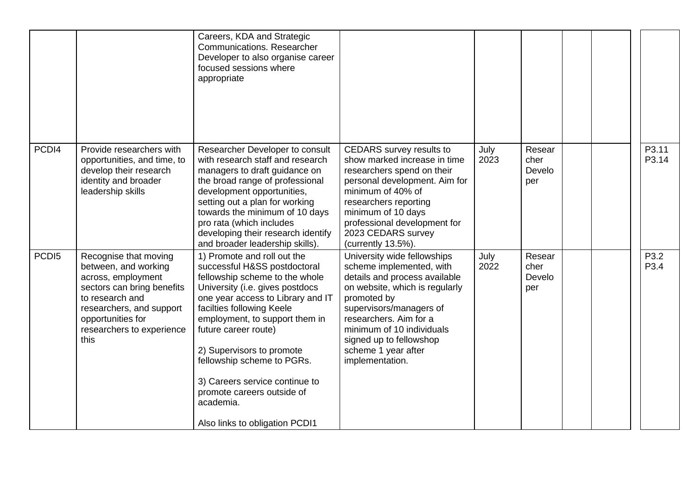|                   |                                                                                                                                                                                                            | Careers, KDA and Strategic<br>Communications. Researcher<br>Developer to also organise career<br>focused sessions where<br>appropriate                                                                                                                                                                                                                                                                                                 |                                                                                                                                                                                                                                                                                                  |              |                                 |  |                |
|-------------------|------------------------------------------------------------------------------------------------------------------------------------------------------------------------------------------------------------|----------------------------------------------------------------------------------------------------------------------------------------------------------------------------------------------------------------------------------------------------------------------------------------------------------------------------------------------------------------------------------------------------------------------------------------|--------------------------------------------------------------------------------------------------------------------------------------------------------------------------------------------------------------------------------------------------------------------------------------------------|--------------|---------------------------------|--|----------------|
| PCDI4             | Provide researchers with<br>opportunities, and time, to<br>develop their research<br>identity and broader<br>leadership skills                                                                             | Researcher Developer to consult<br>with research staff and research<br>managers to draft guidance on<br>the broad range of professional<br>development opportunities,<br>setting out a plan for working<br>towards the minimum of 10 days<br>pro rata (which includes<br>developing their research identify<br>and broader leadership skills).                                                                                         | <b>CEDARS</b> survey results to<br>show marked increase in time<br>researchers spend on their<br>personal development. Aim for<br>minimum of 40% of<br>researchers reporting<br>minimum of 10 days<br>professional development for<br>2023 CEDARS survey<br>(currently 13.5%).                   | July<br>2023 | Resear<br>cher<br>Develo<br>per |  | P3.11<br>P3.14 |
| PCD <sub>15</sub> | Recognise that moving<br>between, and working<br>across, employment<br>sectors can bring benefits<br>to research and<br>researchers, and support<br>opportunities for<br>researchers to experience<br>this | 1) Promote and roll out the<br>successful H&SS postdoctoral<br>fellowship scheme to the whole<br>University (i.e. gives postdocs<br>one year access to Library and IT<br>facilties following Keele<br>employment, to support them in<br>future career route)<br>2) Supervisors to promote<br>fellowship scheme to PGRs.<br>3) Careers service continue to<br>promote careers outside of<br>academia.<br>Also links to obligation PCDI1 | University wide fellowships<br>scheme implemented, with<br>details and process available<br>on website, which is regularly<br>promoted by<br>supervisors/managers of<br>researchers. Aim for a<br>minimum of 10 individuals<br>signed up to fellowshop<br>scheme 1 year after<br>implementation. | July<br>2022 | Resear<br>cher<br>Develo<br>per |  | P3.2<br>P3.4   |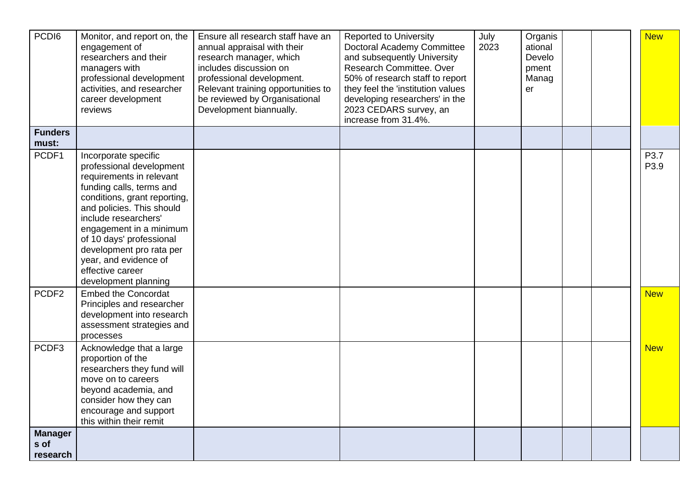| PCDI6<br><b>Funders</b>            | Monitor, and report on, the<br>engagement of<br>researchers and their<br>managers with<br>professional development<br>activities, and researcher<br>career development<br>reviews                                                                                                                                                                     | Ensure all research staff have an<br>annual appraisal with their<br>research manager, which<br>includes discussion on<br>professional development.<br>Relevant training opportunities to<br>be reviewed by Organisational<br>Development biannually. | <b>Reported to University</b><br><b>Doctoral Academy Committee</b><br>and subsequently University<br>Research Committee. Over<br>50% of research staff to report<br>they feel the 'institution values<br>developing researchers' in the<br>2023 CEDARS survey, an<br>increase from 31.4%. | July<br>2023 | Organis<br>ational<br>Develo<br>pment<br>Manag<br>er |  | <b>New</b>   |  |
|------------------------------------|-------------------------------------------------------------------------------------------------------------------------------------------------------------------------------------------------------------------------------------------------------------------------------------------------------------------------------------------------------|------------------------------------------------------------------------------------------------------------------------------------------------------------------------------------------------------------------------------------------------------|-------------------------------------------------------------------------------------------------------------------------------------------------------------------------------------------------------------------------------------------------------------------------------------------|--------------|------------------------------------------------------|--|--------------|--|
| must:                              |                                                                                                                                                                                                                                                                                                                                                       |                                                                                                                                                                                                                                                      |                                                                                                                                                                                                                                                                                           |              |                                                      |  |              |  |
| PCDF1                              | Incorporate specific<br>professional development<br>requirements in relevant<br>funding calls, terms and<br>conditions, grant reporting,<br>and policies. This should<br>include researchers'<br>engagement in a minimum<br>of 10 days' professional<br>development pro rata per<br>year, and evidence of<br>effective career<br>development planning |                                                                                                                                                                                                                                                      |                                                                                                                                                                                                                                                                                           |              |                                                      |  | P3.7<br>P3.9 |  |
| PCDF <sub>2</sub>                  | <b>Embed the Concordat</b><br>Principles and researcher<br>development into research<br>assessment strategies and<br>processes                                                                                                                                                                                                                        |                                                                                                                                                                                                                                                      |                                                                                                                                                                                                                                                                                           |              |                                                      |  | <b>New</b>   |  |
| PCDF3                              | Acknowledge that a large<br>proportion of the<br>researchers they fund will<br>move on to careers<br>beyond academia, and<br>consider how they can<br>encourage and support<br>this within their remit                                                                                                                                                |                                                                                                                                                                                                                                                      |                                                                                                                                                                                                                                                                                           |              |                                                      |  | <b>New</b>   |  |
| <b>Manager</b><br>s of<br>research |                                                                                                                                                                                                                                                                                                                                                       |                                                                                                                                                                                                                                                      |                                                                                                                                                                                                                                                                                           |              |                                                      |  |              |  |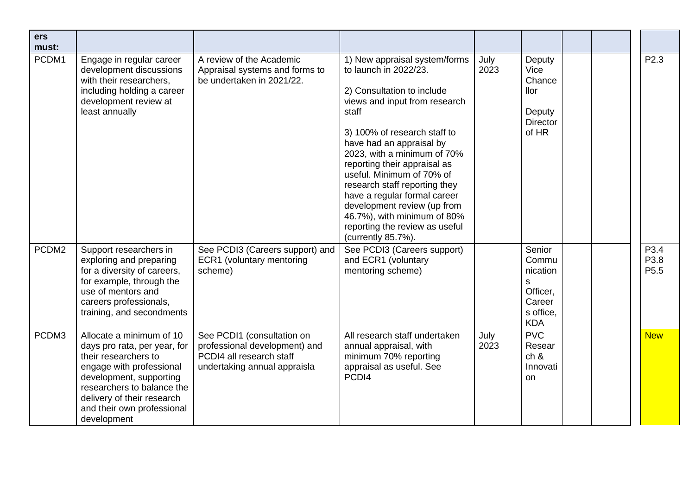| ers<br>must: |                                                                                                                                                                                                                                                  |                                                                                                                         |                                                                                                                                                                                                                                                                                                                                                                                                                                                                               |              |                                                                                   |  |                                  |
|--------------|--------------------------------------------------------------------------------------------------------------------------------------------------------------------------------------------------------------------------------------------------|-------------------------------------------------------------------------------------------------------------------------|-------------------------------------------------------------------------------------------------------------------------------------------------------------------------------------------------------------------------------------------------------------------------------------------------------------------------------------------------------------------------------------------------------------------------------------------------------------------------------|--------------|-----------------------------------------------------------------------------------|--|----------------------------------|
| PCDM1        | Engage in regular career<br>development discussions<br>with their researchers,<br>including holding a career<br>development review at<br>least annually                                                                                          | A review of the Academic<br>Appraisal systems and forms to<br>be undertaken in 2021/22.                                 | 1) New appraisal system/forms<br>to launch in 2022/23.<br>2) Consultation to include<br>views and input from research<br>staff<br>3) 100% of research staff to<br>have had an appraisal by<br>2023, with a minimum of 70%<br>reporting their appraisal as<br>useful. Minimum of 70% of<br>research staff reporting they<br>have a regular formal career<br>development review (up from<br>46.7%), with minimum of 80%<br>reporting the review as useful<br>(currently 85.7%). | July<br>2023 | Deputy<br>Vice<br>Chance<br>llor<br>Deputy<br><b>Director</b><br>of HR            |  | P <sub>2.3</sub>                 |
| PCDM2        | Support researchers in<br>exploring and preparing<br>for a diversity of careers,<br>for example, through the<br>use of mentors and<br>careers professionals,<br>training, and secondments                                                        | See PCDI3 (Careers support) and<br>ECR1 (voluntary mentoring<br>scheme)                                                 | See PCDI3 (Careers support)<br>and ECR1 (voluntary<br>mentoring scheme)                                                                                                                                                                                                                                                                                                                                                                                                       |              | Senior<br>Commu<br>nication<br>S<br>Officer,<br>Career<br>s office,<br><b>KDA</b> |  | P3.4<br>P3.8<br>P <sub>5.5</sub> |
| PCDM3        | Allocate a minimum of 10<br>days pro rata, per year, for<br>their researchers to<br>engage with professional<br>development, supporting<br>researchers to balance the<br>delivery of their research<br>and their own professional<br>development | See PCDI1 (consultation on<br>professional development) and<br>PCDI4 all research staff<br>undertaking annual appraisla | All research staff undertaken<br>annual appraisal, with<br>minimum 70% reporting<br>appraisal as useful. See<br>PCDI4                                                                                                                                                                                                                                                                                                                                                         | July<br>2023 | <b>PVC</b><br>Resear<br>ch 8<br>Innovati<br>on                                    |  | <b>New</b>                       |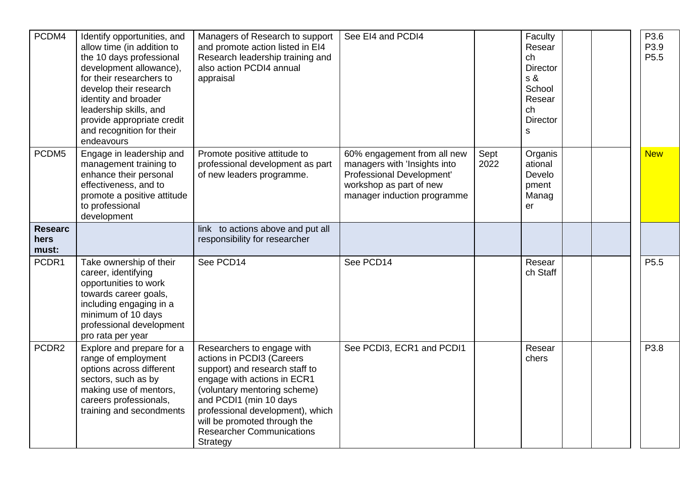| PCDM4                           | Identify opportunities, and<br>allow time (in addition to<br>the 10 days professional<br>development allowance),<br>for their researchers to<br>develop their research<br>identity and broader<br>leadership skills, and<br>provide appropriate credit<br>and recognition for their<br>endeavours | Managers of Research to support<br>and promote action listed in EI4<br>Research leadership training and<br>also action PCDI4 annual<br>appraisal                                                                                                                                                       | See EI4 and PCDI4                                                                                                                                  |              | Faculty<br>Resear<br>ch<br><b>Director</b><br>s &<br>School<br>Resear<br>ch<br><b>Director</b><br>s | P3.6<br>P3.9<br>P <sub>5.5</sub> |
|---------------------------------|---------------------------------------------------------------------------------------------------------------------------------------------------------------------------------------------------------------------------------------------------------------------------------------------------|--------------------------------------------------------------------------------------------------------------------------------------------------------------------------------------------------------------------------------------------------------------------------------------------------------|----------------------------------------------------------------------------------------------------------------------------------------------------|--------------|-----------------------------------------------------------------------------------------------------|----------------------------------|
| PCDM5                           | Engage in leadership and<br>management training to<br>enhance their personal<br>effectiveness, and to<br>promote a positive attitude<br>to professional<br>development                                                                                                                            | Promote positive attitude to<br>professional development as part<br>of new leaders programme.                                                                                                                                                                                                          | 60% engagement from all new<br>managers with 'Insights into<br>Professional Development'<br>workshop as part of new<br>manager induction programme | Sept<br>2022 | Organis<br>ational<br>Develo<br>pment<br>Manag<br>er                                                | <b>New</b>                       |
| <b>Researc</b><br>hers<br>must: |                                                                                                                                                                                                                                                                                                   | link to actions above and put all<br>responsibility for researcher                                                                                                                                                                                                                                     |                                                                                                                                                    |              |                                                                                                     |                                  |
| PCDR1                           | Take ownership of their<br>career, identifying<br>opportunities to work<br>towards career goals,<br>including engaging in a<br>minimum of 10 days<br>professional development<br>pro rata per year                                                                                                | See PCD14                                                                                                                                                                                                                                                                                              | See PCD14                                                                                                                                          |              | Resear<br>ch Staff                                                                                  | P <sub>5.5</sub>                 |
| PCDR <sub>2</sub>               | Explore and prepare for a<br>range of employment<br>options across different<br>sectors, such as by<br>making use of mentors,<br>careers professionals,<br>training and secondments                                                                                                               | Researchers to engage with<br>actions in PCDI3 (Careers<br>support) and research staff to<br>engage with actions in ECR1<br>(voluntary mentoring scheme)<br>and PCDI1 (min 10 days<br>professional development), which<br>will be promoted through the<br><b>Researcher Communications</b><br>Strategy | See PCDI3, ECR1 and PCDI1                                                                                                                          |              | Resear<br>chers                                                                                     | P3.8                             |